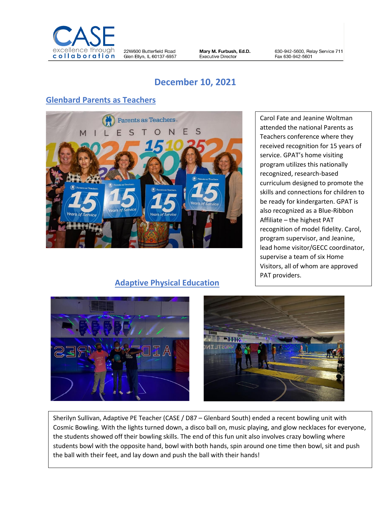

22W600 Butterfield Road Glen Ellyn, IL 60137-6957 Mary M. Furbush, Ed.D. **Executive Director** 

630-942-5600, Relay Service 711 Fax 630-942-5601

# **December 10, 2021**

## **Glenbard Parents as Teachers**



#### **Adaptive Physical Education**

Carol Fate and Jeanine Woltman attended the national Parents as Teachers conference where they received recognition for 15 years of service. GPAT's home visiting program utilizes this nationally recognized, research-based curriculum designed to promote the skills and connections for children to be ready for kindergarten. GPAT is also recognized as a Blue-Ribbon Affiliate – the highest PAT recognition of model fidelity. Carol, program supervisor, and Jeanine, lead home visitor/GECC coordinator, supervise a team of six Home Visitors, all of whom are approved PAT providers.





Sherilyn Sullivan, Adaptive PE Teacher (CASE / D87 – Glenbard South) ended a recent bowling unit with Cosmic Bowling. With the lights turned down, a disco ball on, music playing, and glow necklaces for everyone, the students showed off their bowling skills. The end of this fun unit also involves crazy bowling where students bowl with the opposite hand, bowl with both hands, spin around one time then bowl, sit and push the ball with their feet, and lay down and push the ball with their hands!